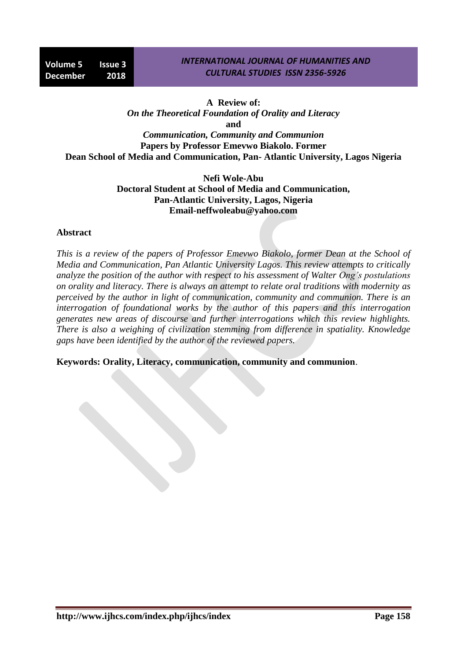#### *INTERNATIONAL JOURNAL OF HUMANITIES AND CULTURAL STUDIES ISSN 2356-5926*

## **A Review of:**

*On the Theoretical Foundation of Orality and Literacy* **and**

*Communication, Community and Communion* **Papers by Professor Emevwo Biakolo. Former Dean School of Media and Communication, Pan- Atlantic University, Lagos Nigeria**

> **Nefi Wole-Abu Doctoral Student at School of Media and Communication, Pan-Atlantic University, Lagos, Nigeria Email-neffwoleabu@yahoo.com**

#### **Abstract**

*This is a review of the papers of Professor Emevwo Biakolo, former Dean at the School of Media and Communication, Pan Atlantic University Lagos. This review attempts to critically analyze the position of the author with respect to his assessment of Walter Ong's postulations on orality and literacy. There is always an attempt to relate oral traditions with modernity as perceived by the author in light of communication, community and communion. There is an interrogation of foundational works by the author of this papers and this interrogation generates new areas of discourse and further interrogations which this review highlights. There is also a weighing of civilization stemming from difference in spatiality. Knowledge gaps have been identified by the author of the reviewed papers.*

**Keywords: Orality, Literacy, communication, community and communion**.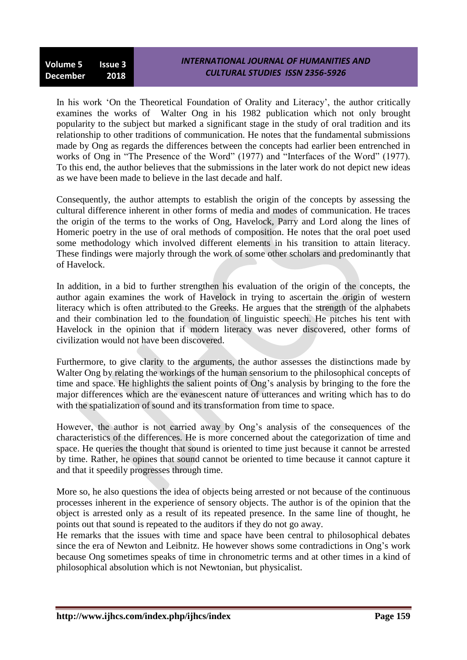### *INTERNATIONAL JOURNAL OF HUMANITIES AND CULTURAL STUDIES ISSN 2356-5926*

In his work 'On the Theoretical Foundation of Orality and Literacy', the author critically examines the works of Walter Ong in his 1982 publication which not only brought popularity to the subject but marked a significant stage in the study of oral tradition and its relationship to other traditions of communication. He notes that the fundamental submissions made by Ong as regards the differences between the concepts had earlier been entrenched in works of Ong in "The Presence of the Word" (1977) and "Interfaces of the Word" (1977). To this end, the author believes that the submissions in the later work do not depict new ideas as we have been made to believe in the last decade and half.

Consequently, the author attempts to establish the origin of the concepts by assessing the cultural difference inherent in other forms of media and modes of communication. He traces the origin of the terms to the works of Ong, Havelock, Parry and Lord along the lines of Homeric poetry in the use of oral methods of composition. He notes that the oral poet used some methodology which involved different elements in his transition to attain literacy. These findings were majorly through the work of some other scholars and predominantly that of Havelock.

In addition, in a bid to further strengthen his evaluation of the origin of the concepts, the author again examines the work of Havelock in trying to ascertain the origin of western literacy which is often attributed to the Greeks. He argues that the strength of the alphabets and their combination led to the foundation of linguistic speech. He pitches his tent with Havelock in the opinion that if modern literacy was never discovered, other forms of civilization would not have been discovered.

Furthermore, to give clarity to the arguments, the author assesses the distinctions made by Walter Ong by relating the workings of the human sensorium to the philosophical concepts of time and space. He highlights the salient points of Ong"s analysis by bringing to the fore the major differences which are the evanescent nature of utterances and writing which has to do with the spatialization of sound and its transformation from time to space.

However, the author is not carried away by Ong's analysis of the consequences of the characteristics of the differences. He is more concerned about the categorization of time and space. He queries the thought that sound is oriented to time just because it cannot be arrested by time. Rather, he opines that sound cannot be oriented to time because it cannot capture it and that it speedily progresses through time.

More so, he also questions the idea of objects being arrested or not because of the continuous processes inherent in the experience of sensory objects. The author is of the opinion that the object is arrested only as a result of its repeated presence. In the same line of thought, he points out that sound is repeated to the auditors if they do not go away.

He remarks that the issues with time and space have been central to philosophical debates since the era of Newton and Leibnitz. He however shows some contradictions in Ong"s work because Ong sometimes speaks of time in chronometric terms and at other times in a kind of philosophical absolution which is not Newtonian, but physicalist.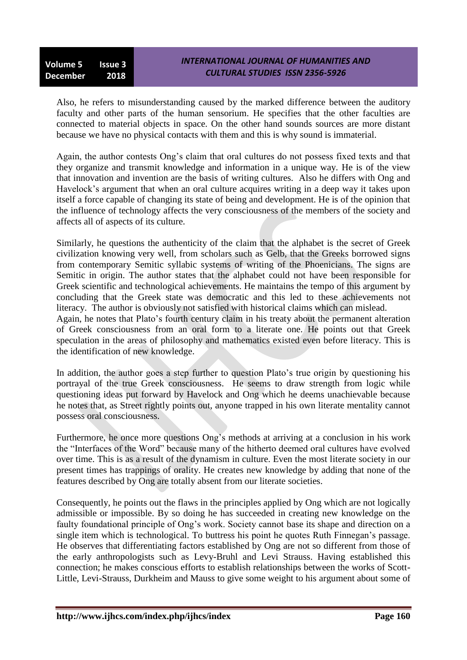Also, he refers to misunderstanding caused by the marked difference between the auditory faculty and other parts of the human sensorium. He specifies that the other faculties are connected to material objects in space. On the other hand sounds sources are more distant because we have no physical contacts with them and this is why sound is immaterial.

Again, the author contests Ong"s claim that oral cultures do not possess fixed texts and that they organize and transmit knowledge and information in a unique way. He is of the view that innovation and invention are the basis of writing cultures. Also he differs with Ong and Havelock's argument that when an oral culture acquires writing in a deep way it takes upon itself a force capable of changing its state of being and development. He is of the opinion that the influence of technology affects the very consciousness of the members of the society and affects all of aspects of its culture.

Similarly, he questions the authenticity of the claim that the alphabet is the secret of Greek civilization knowing very well, from scholars such as Gelb, that the Greeks borrowed signs from contemporary Semitic syllabic systems of writing of the Phoenicians. The signs are Semitic in origin. The author states that the alphabet could not have been responsible for Greek scientific and technological achievements. He maintains the tempo of this argument by concluding that the Greek state was democratic and this led to these achievements not literacy. The author is obviously not satisfied with historical claims which can mislead.

Again, he notes that Plato"s fourth century claim in his treaty about the permanent alteration of Greek consciousness from an oral form to a literate one. He points out that Greek speculation in the areas of philosophy and mathematics existed even before literacy. This is the identification of new knowledge.

In addition, the author goes a step further to question Plato"s true origin by questioning his portrayal of the true Greek consciousness. He seems to draw strength from logic while questioning ideas put forward by Havelock and Ong which he deems unachievable because he notes that, as Street rightly points out, anyone trapped in his own literate mentality cannot possess oral consciousness.

Furthermore, he once more questions Ong"s methods at arriving at a conclusion in his work the "Interfaces of the Word" because many of the hitherto deemed oral cultures have evolved over time. This is as a result of the dynamism in culture. Even the most literate society in our present times has trappings of orality. He creates new knowledge by adding that none of the features described by Ong are totally absent from our literate societies.

Consequently, he points out the flaws in the principles applied by Ong which are not logically admissible or impossible. By so doing he has succeeded in creating new knowledge on the faulty foundational principle of Ong's work. Society cannot base its shape and direction on a single item which is technological. To buttress his point he quotes Ruth Finnegan's passage. He observes that differentiating factors established by Ong are not so different from those of the early anthropologists such as Levy-Bruhl and Levi Strauss. Having established this connection; he makes conscious efforts to establish relationships between the works of Scott-Little, Levi-Strauss, Durkheim and Mauss to give some weight to his argument about some of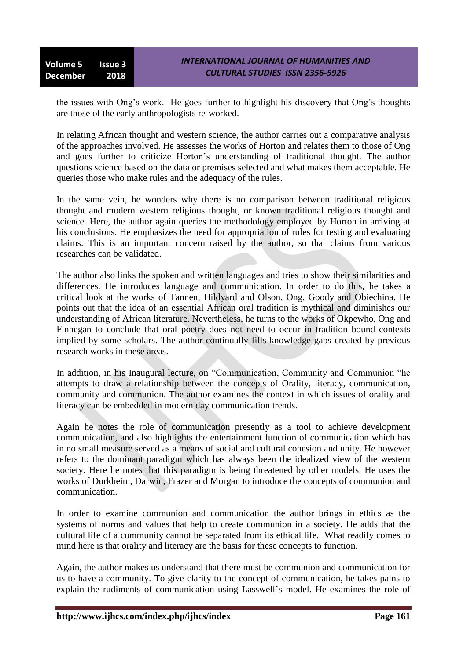the issues with Ong"s work. He goes further to highlight his discovery that Ong"s thoughts are those of the early anthropologists re-worked.

In relating African thought and western science, the author carries out a comparative analysis of the approaches involved. He assesses the works of Horton and relates them to those of Ong and goes further to criticize Horton"s understanding of traditional thought. The author questions science based on the data or premises selected and what makes them acceptable. He queries those who make rules and the adequacy of the rules.

In the same vein, he wonders why there is no comparison between traditional religious thought and modern western religious thought, or known traditional religious thought and science. Here, the author again queries the methodology employed by Horton in arriving at his conclusions. He emphasizes the need for appropriation of rules for testing and evaluating claims. This is an important concern raised by the author, so that claims from various researches can be validated.

The author also links the spoken and written languages and tries to show their similarities and differences. He introduces language and communication. In order to do this, he takes a critical look at the works of Tannen, Hildyard and Olson, Ong, Goody and Obiechina. He points out that the idea of an essential African oral tradition is mythical and diminishes our understanding of African literature. Nevertheless, he turns to the works of Okpewho, Ong and Finnegan to conclude that oral poetry does not need to occur in tradition bound contexts implied by some scholars. The author continually fills knowledge gaps created by previous research works in these areas.

In addition, in his Inaugural lecture, on "Communication, Community and Communion "he attempts to draw a relationship between the concepts of Orality, literacy, communication, community and communion. The author examines the context in which issues of orality and literacy can be embedded in modern day communication trends.

Again he notes the role of communication presently as a tool to achieve development communication, and also highlights the entertainment function of communication which has in no small measure served as a means of social and cultural cohesion and unity. He however refers to the dominant paradigm which has always been the idealized view of the western society. Here he notes that this paradigm is being threatened by other models. He uses the works of Durkheim, Darwin, Frazer and Morgan to introduce the concepts of communion and communication.

In order to examine communion and communication the author brings in ethics as the systems of norms and values that help to create communion in a society. He adds that the cultural life of a community cannot be separated from its ethical life. What readily comes to mind here is that orality and literacy are the basis for these concepts to function.

Again, the author makes us understand that there must be communion and communication for us to have a community. To give clarity to the concept of communication, he takes pains to explain the rudiments of communication using Lasswell"s model. He examines the role of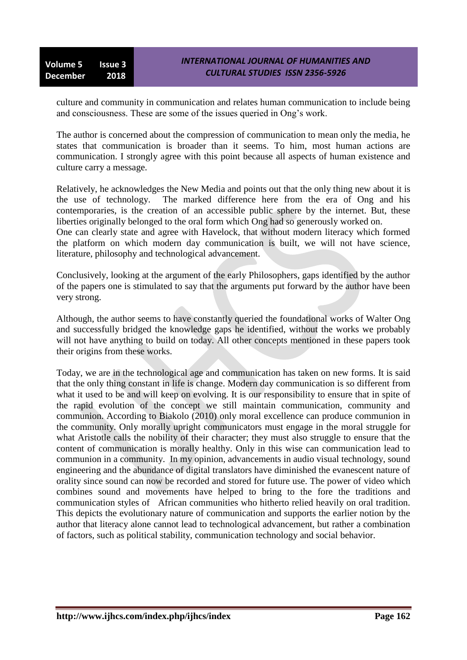culture and community in communication and relates human communication to include being and consciousness. These are some of the issues queried in Ong"s work.

The author is concerned about the compression of communication to mean only the media, he states that communication is broader than it seems. To him, most human actions are communication. I strongly agree with this point because all aspects of human existence and culture carry a message.

Relatively, he acknowledges the New Media and points out that the only thing new about it is the use of technology. The marked difference here from the era of Ong and his contemporaries, is the creation of an accessible public sphere by the internet. But, these liberties originally belonged to the oral form which Ong had so generously worked on.

One can clearly state and agree with Havelock, that without modern literacy which formed the platform on which modern day communication is built, we will not have science, literature, philosophy and technological advancement.

Conclusively, looking at the argument of the early Philosophers, gaps identified by the author of the papers one is stimulated to say that the arguments put forward by the author have been very strong.

Although, the author seems to have constantly queried the foundational works of Walter Ong and successfully bridged the knowledge gaps he identified, without the works we probably will not have anything to build on today. All other concepts mentioned in these papers took their origins from these works.

Today, we are in the technological age and communication has taken on new forms. It is said that the only thing constant in life is change. Modern day communication is so different from what it used to be and will keep on evolving. It is our responsibility to ensure that in spite of the rapid evolution of the concept we still maintain communication, community and communion. According to Biakolo (2010) only moral excellence can produce communion in the community. Only morally upright communicators must engage in the moral struggle for what Aristotle calls the nobility of their character; they must also struggle to ensure that the content of communication is morally healthy. Only in this wise can communication lead to communion in a community. In my opinion, advancements in audio visual technology, sound engineering and the abundance of digital translators have diminished the evanescent nature of orality since sound can now be recorded and stored for future use. The power of video which combines sound and movements have helped to bring to the fore the traditions and communication styles of African communities who hitherto relied heavily on oral tradition. This depicts the evolutionary nature of communication and supports the earlier notion by the author that literacy alone cannot lead to technological advancement, but rather a combination of factors, such as political stability, communication technology and social behavior.